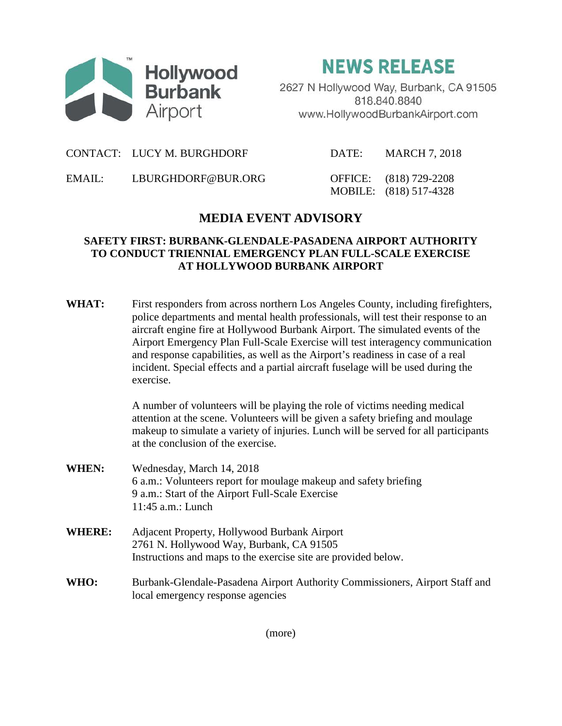

**NEWS RELEASE** 

2627 N Hollywood Way, Burbank, CA 91505 818.840.8840 www.HollywoodBurbankAirport.com

CONTACT: LUCY M. BURGHDORF DATE: MARCH 7, 2018

EMAIL: LBURGHDORF@BUR.ORG OFFICE: (818) 729-2208

MOBILE: (818) 517-4328

## **MEDIA EVENT ADVISORY**

## **SAFETY FIRST: BURBANK-GLENDALE-PASADENA AIRPORT AUTHORITY TO CONDUCT TRIENNIAL EMERGENCY PLAN FULL-SCALE EXERCISE AT HOLLYWOOD BURBANK AIRPORT**

WHAT: First responders from across northern Los Angeles County, including firefighters, police departments and mental health professionals, will test their response to an aircraft engine fire at Hollywood Burbank Airport. The simulated events of the Airport Emergency Plan Full-Scale Exercise will test interagency communication and response capabilities, as well as the Airport's readiness in case of a real incident. Special effects and a partial aircraft fuselage will be used during the exercise.

> A number of volunteers will be playing the role of victims needing medical attention at the scene. Volunteers will be given a safety briefing and moulage makeup to simulate a variety of injuries. Lunch will be served for all participants at the conclusion of the exercise.

- **WHEN:** Wednesday, March 14, 2018 6 a.m.: Volunteers report for moulage makeup and safety briefing 9 a.m.: Start of the Airport Full-Scale Exercise 11:45 a.m.: Lunch
- **WHERE:** Adjacent Property, Hollywood Burbank Airport 2761 N. Hollywood Way, Burbank, CA 91505 Instructions and maps to the exercise site are provided below.
- **WHO:** Burbank-Glendale-Pasadena Airport Authority Commissioners, Airport Staff and local emergency response agencies